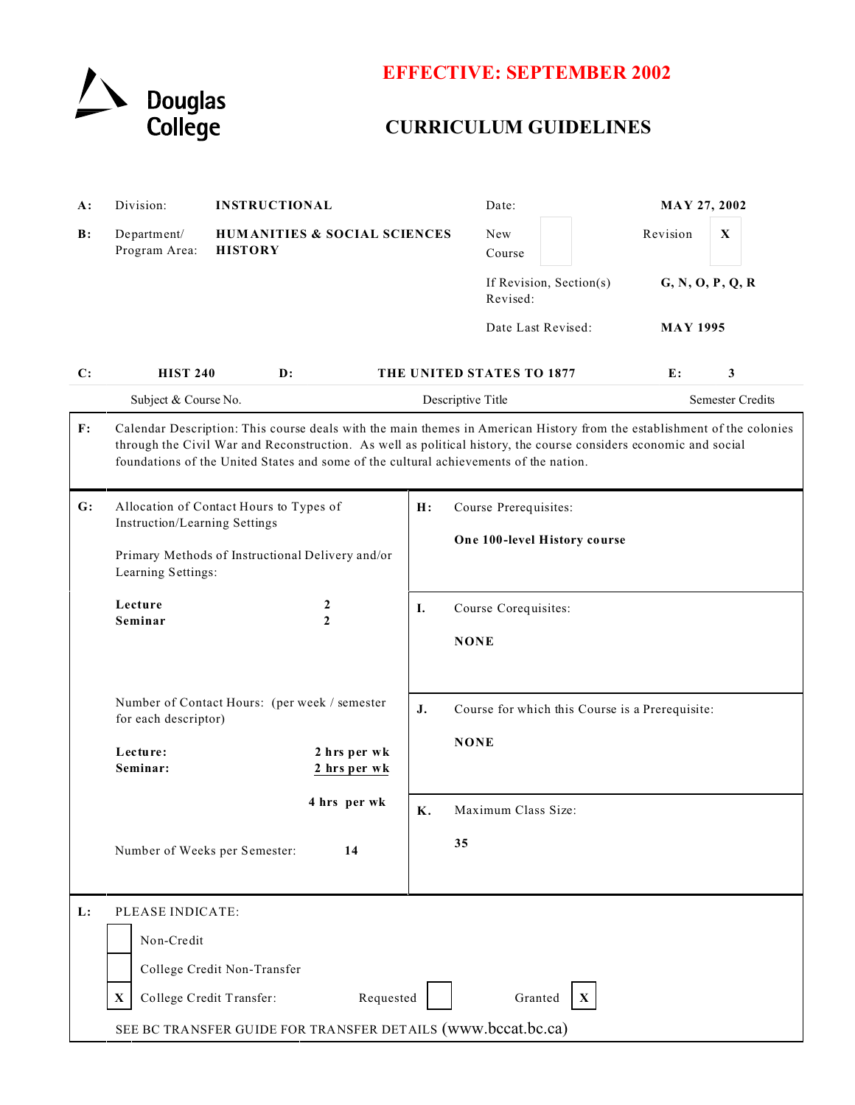

## **EFFECTIVE: SEPTEMBER 2002**

# **CURRICULUM GUIDELINES**

| <b>A:</b> | Division:                                                                                                                                                                                                                                                                                                                            |                | <b>INSTRUCTIONAL</b>                                  |                             | Date:                               |                              | MAY 27, 2002     |   |  |
|-----------|--------------------------------------------------------------------------------------------------------------------------------------------------------------------------------------------------------------------------------------------------------------------------------------------------------------------------------------|----------------|-------------------------------------------------------|-----------------------------|-------------------------------------|------------------------------|------------------|---|--|
| B:        | Department/<br>Program Area:                                                                                                                                                                                                                                                                                                         | <b>HISTORY</b> | <b>HUMANITIES &amp; SOCIAL SCIENCES</b>               |                             | New<br>Course                       |                              | Revision         | X |  |
|           |                                                                                                                                                                                                                                                                                                                                      |                |                                                       |                             | If Revision, Section(s)<br>Revised: |                              | G, N, O, P, Q, R |   |  |
|           |                                                                                                                                                                                                                                                                                                                                      |                |                                                       |                             | Date Last Revised:                  |                              | <b>MAY 1995</b>  |   |  |
| C:        | <b>HIST 240</b>                                                                                                                                                                                                                                                                                                                      | $\mathbf{D}$ : |                                                       |                             | THE UNITED STATES TO 1877           |                              | E:               | 3 |  |
|           | Subject & Course No.                                                                                                                                                                                                                                                                                                                 |                | Descriptive Title                                     |                             |                                     | Semester Credits             |                  |   |  |
| F:        | Calendar Description: This course deals with the main themes in American History from the establishment of the colonies<br>through the Civil War and Reconstruction. As well as political history, the course considers economic and social<br>foundations of the United States and some of the cultural achievements of the nation. |                |                                                       |                             |                                     |                              |                  |   |  |
| G:        | Allocation of Contact Hours to Types of<br>Instruction/Learning Settings<br>Primary Methods of Instructional Delivery and/or<br>Learning Settings:                                                                                                                                                                                   |                |                                                       | Course Prerequisites:<br>H: |                                     |                              |                  |   |  |
|           |                                                                                                                                                                                                                                                                                                                                      |                |                                                       |                             |                                     | One 100-level History course |                  |   |  |
|           |                                                                                                                                                                                                                                                                                                                                      |                |                                                       |                             |                                     |                              |                  |   |  |
|           | Lecture<br>Seminar                                                                                                                                                                                                                                                                                                                   |                | 2<br>$\overline{2}$                                   | I.                          | Course Corequisites:                |                              |                  |   |  |
|           |                                                                                                                                                                                                                                                                                                                                      |                |                                                       |                             | <b>NONE</b>                         |                              |                  |   |  |
|           | Number of Contact Hours: (per week / semester<br>for each descriptor)                                                                                                                                                                                                                                                                |                | J.<br>Course for which this Course is a Prerequisite: |                             |                                     |                              |                  |   |  |
|           | Lecture:<br>2 hrs per wk<br>Seminar:<br>2 hrs per wk<br>4 hrs per wk<br>Number of Weeks per Semester:<br>14                                                                                                                                                                                                                          |                |                                                       |                             | <b>NONE</b>                         |                              |                  |   |  |
|           |                                                                                                                                                                                                                                                                                                                                      |                | Κ.                                                    | Maximum Class Size:         |                                     |                              |                  |   |  |
|           |                                                                                                                                                                                                                                                                                                                                      |                |                                                       | 35                          |                                     |                              |                  |   |  |
| L:        | PLEASE INDICATE:                                                                                                                                                                                                                                                                                                                     |                |                                                       |                             |                                     |                              |                  |   |  |
|           | Non-Credit<br>College Credit Non-Transfer                                                                                                                                                                                                                                                                                            |                |                                                       |                             |                                     |                              |                  |   |  |
|           |                                                                                                                                                                                                                                                                                                                                      |                |                                                       |                             |                                     |                              |                  |   |  |
|           | Requested<br>College Credit Transfer:<br>Granted<br>X<br>$\mathbf{X}$                                                                                                                                                                                                                                                                |                |                                                       |                             |                                     |                              |                  |   |  |
|           | SEE BC TRANSFER GUIDE FOR TRANSFER DETAILS (www.bccat.bc.ca)                                                                                                                                                                                                                                                                         |                |                                                       |                             |                                     |                              |                  |   |  |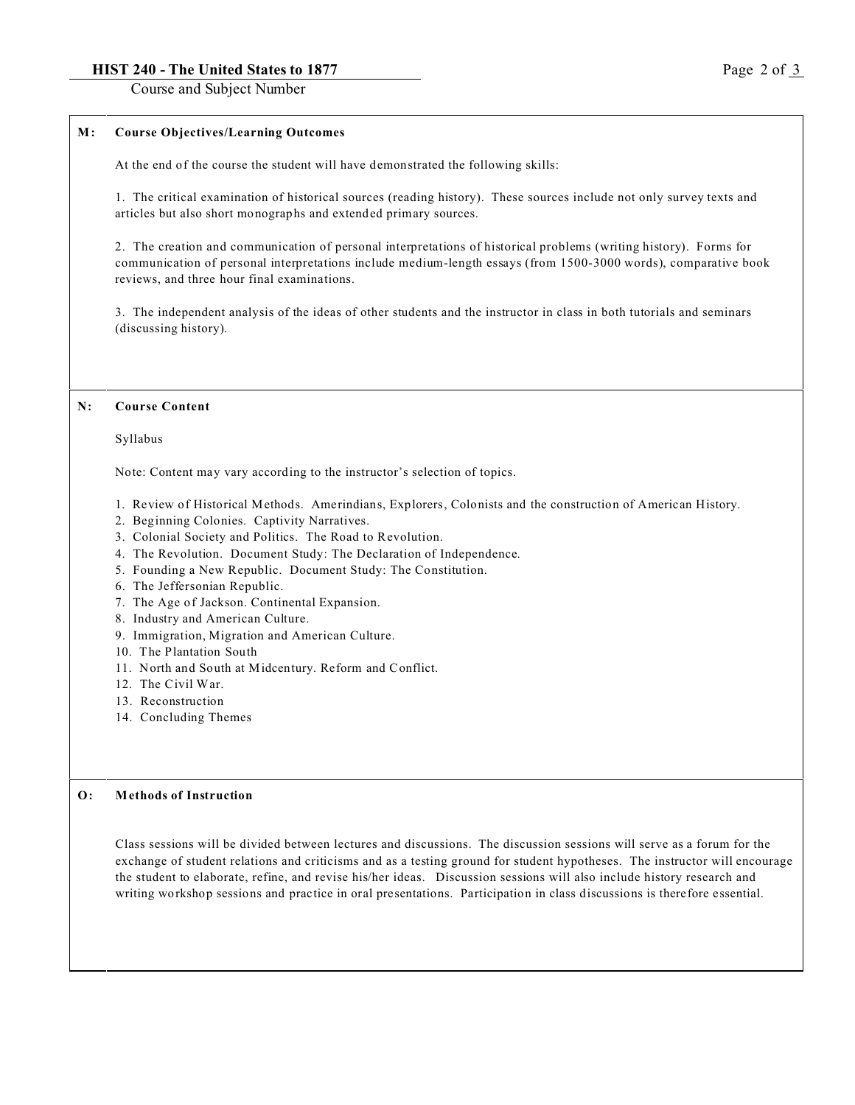#### **HIST 240 - The United States to 1877** Page 2 of 3

Course and Subject Number

#### **M : Course Objectives/Learning Outcomes**

At the end of the course the student will have demonstrated the following skills:

1. The critical examination of historical sources (reading history). These sources include not only survey texts and articles but also short monographs and extended primary sources.

2. The creation and communication of personal interpretations of historical problems (writing history). Forms for communication of personal interpretations include medium-length essays (from 1500-3000 words), comparative book reviews, and three hour final examinations.

3. The independent analysis of the ideas of other students and the instructor in class in both tutorials and seminars (discussing history).

#### **N: Course Content**

Syllabus

Note: Content may vary according to the instructor's selection of topics.

- 1. Review of Historical Methods. Amerindians, Explorers, Colonists and the construction of American History.
- 2. Beginning Colonies. Captivity Narratives.
- 3. Colonial Society and Politics. The Road to Revolution.
- 4. The Revolution. Document Study: The Declaration of Independence.
- 5. Founding a New Republic. Document Study: The Constitution.
- 6. The Jeffersonian Republic.
- 7. The Age of Jackson. Continental Expansion.
- 8. Industry and American Culture.
- 9. Immigration, Migration and American Culture.
- 10. The Plantation South
- 11. North and South at Midcentury. Reform and Conflict.
- 12. The Civil War.
- 13. Reconstruction
- 14. Concluding Themes

#### **O: Methods of Instruction**

Class sessions will be divided between lectures and discussions. The discussion sessions will serve as a forum for the exchange of student relations and criticisms and as a testing ground for student hypotheses. The instructor will encourage the student to elaborate, refine, and revise his/her ideas. Discussion sessions will also include history research and writing workshop sessions and practice in oral presentations. Participation in class discussions is therefore essential.